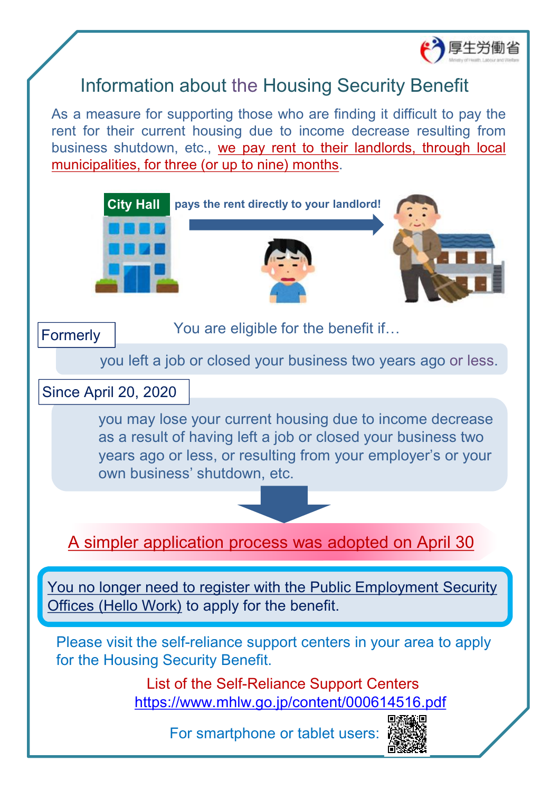

## Information about the Housing Security Benefit

As a measure for supporting those who are finding it difficult to pay the rent for their current housing due to income decrease resulting from business shutdown, etc., we pay rent to their landlords, through local municipalities, for three (or up to nine) months.